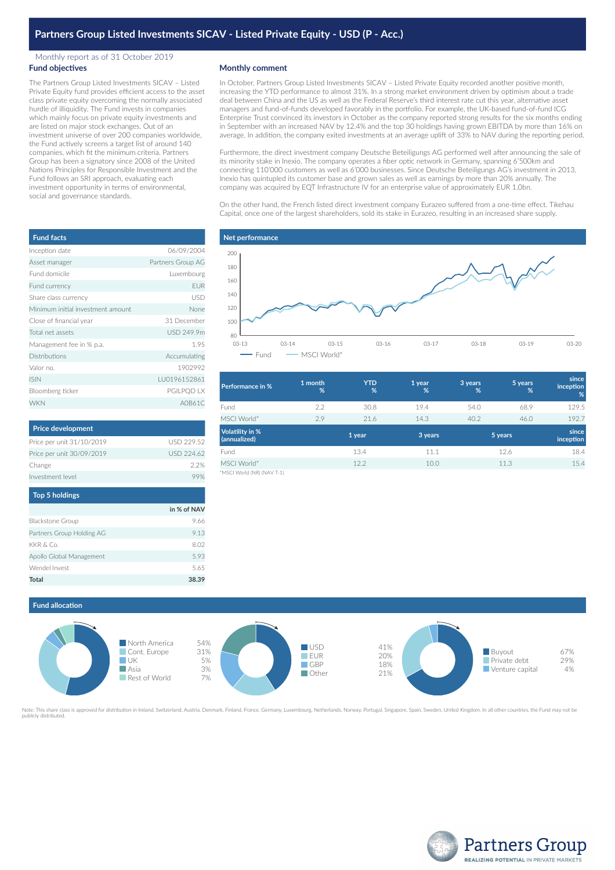## Monthly report as of 31 October 2019 **Fund objectives**

The Partners Group Listed Investments SICAV – Listed Private Equity fund provides efficient access to the asset class private equity overcoming the normally associated hurdle of illiquidity. The Fund invests in companies which mainly focus on private equity investments and are listed on major stock exchanges. Out of an investment universe of over 200 companies worldwide, the Fund actively screens a target list of around 140 companies, which fit the minimum criteria. Partners Group has been a signatory since 2008 of the United Nations Principles for Responsible Investment and the Fund follows an SRI approach, evaluating each investment opportunity in terms of environmental, social and governance standards.

| <b>Monthly comment</b> |  |
|------------------------|--|
|------------------------|--|

In October, Partners Group Listed Investments SICAV – Listed Private Equity recorded another positive month, increasing the YTD performance to almost 31%. In a strong market environment driven by optimism about a trade deal between China and the US as well as the Federal Reserve's third interest rate cut this year, alternative asset managers and fund-of-funds developed favorably in the portfolio. For example, the UK-based fund-of-fund ICG Enterprise Trust convinced its investors in October as the company reported strong results for the six months ending in September with an increased NAV by 12.4% and the top 30 holdings having grown EBITDA by more than 16% on average. In addition, the company exited investments at an average uplift of 33% to NAV during the reporting period.

Furthermore, the direct investment company Deutsche Beteiligungs AG performed well after announcing the sale of its minority stake in Inexio. The company operates a fiber optic network in Germany, spanning 6'500km and connecting 110'000 customers as well as 6'000 businesses. Since Deutsche Beteiligungs AG's investment in 2013, Inexio has quintupled its customer base and grown sales as well as earnings by more than 20% annually. The company was acquired by EQT Infrastructure IV for an enterprise value of approximately EUR 1.0bn.

On the other hand, the French listed direct investment company Eurazeo suffered from a one-time effect. Tikehau Capital, once one of the largest shareholders, sold its stake in Eurazeo, resulting in an increased share supply.



| 1 month<br>% | <b>YTD</b><br>% | 1 year<br>% | 3 years<br>% | 5 years<br>% | since<br>inception<br>% |
|--------------|-----------------|-------------|--------------|--------------|-------------------------|
| 2.2          | 30.8            | 19.4        | 54.0         | 68.9         | 129.5                   |
| 2.9          | 21.6            | 14.3        | 40.2         | 46.0         | 192.7                   |
|              | 1 year          | 3 years     |              |              | since<br>inception      |
|              | 13.4            | 11.1        |              | 12.6         | 18.4                    |
|              | 12.2            | 10.0        |              | 11.3         | 15.4                    |
|              |                 |             |              |              | 5 years                 |

orld (NR) (NAV T-1)

**Fund allocation**



Note: This share class is approved for distribution in Ireland, Switzerland, Austria, Denmark, Finland, France, Germany, Luxembourg, Netherlands, Norway, Portugal, Singapore, Spain, Sweden, United Kingdom. In all other cou publicly distributed.



| <b>Fund facts</b>                 |                   |
|-----------------------------------|-------------------|
| Inception date                    | 06/09/2004        |
| Asset manager                     | Partners Group AG |
| Fund domicile                     | Luxembourg        |
| Fund currency                     | <b>EUR</b>        |
| Share class currency              | <b>USD</b>        |
| Minimum initial investment amount | None              |
| Close of financial year           | 31 December       |
| Total net assets                  | USD 249.9m        |
| Management fee in % p.a.          | 1.95              |
| <b>Distributions</b>              | Accumulating      |
| Valor no.                         | 1902992           |
| <b>ISIN</b>                       | LU0196152861      |
| Bloomberg ticker                  | PGILPQD LX        |
| <b>WKN</b>                        | A0B61C            |

| <b>USD 229 52</b> |
|-------------------|
| <b>USD 224.62</b> |
| 22%               |
|                   |
|                   |

# **Top 5 holdings**

|                           | in % of NAV |
|---------------------------|-------------|
| <b>Blackstone Group</b>   | 9.66        |
| Partners Group Holding AG | 9.13        |
| KKR & Co.                 | 8.02        |
| Apollo Global Management  | 5.93        |
| Wendel Invest             | 5.65        |
| <b>Total</b>              | 38.39       |